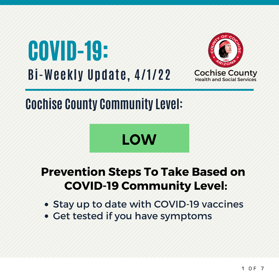



## **Cochise County Community Level:**

# **LOW**

#### **Prevention Steps To Take Based on COVID-19 Community Level:**

- Stay up to date with COVID-19 vaccines
- Get tested if you have symptoms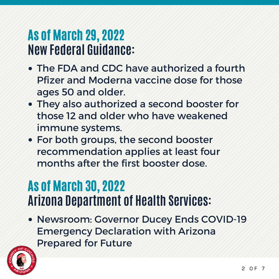## As of March 29, 2022 **New Federal Guidance:**

- The FDA and CDC have authorized a fourth Pfizer and Moderna vaccine dose for those ages 50 and older.
- They also authorized a second booster for those 12 and older who have weakened immune systems.
- For both groups, the second booster recommendation applies at least four months after the first booster dose.

## As of March 30, 2022 **Arizona Department of Health Services:**

Newsroom: Governor Ducey Ends COVID-19 Emergency Declaration with Arizona Prepared for Future

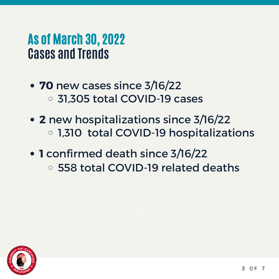#### As of March 30, 2022 **Cases and Trends**

- **70** new cases since 3/16/22 31,305 total COVID-19 cases
- **2** new hospitalizations since 3/16/22 1,310 total COVID-19 hospitalizations
- **1** confirmed death since 3/16/22
	- 558 total COVID-19 related deaths

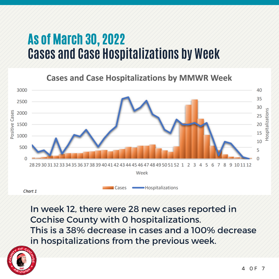## As of March 30, 2022 **Cases and Case Hospitalizations by Week**

**Cases and Case Hospitalizations by MMWR Week** 



Chart 1

In week 12, there were 28 new cases reported in Cochise County with 0 hospitalizations. This is a 38% decrease in cases and a 100% decrease in hospitalizations from the previous week.

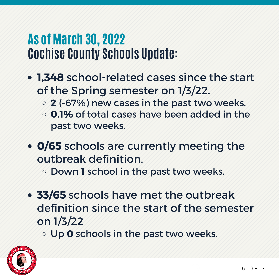## As of March 30, 2022 **Cochise County Schools Update:**

- **1,348** school-related cases since the start of the Spring semester on 1/3/22.
	- **2** (-67%) new cases in the past two weeks.
	- **0.1%** of total cases have been added in the past two weeks.
- **0/65** schools are currently meeting the outbreak definition.

Down **1** school in the past two weeks.

- **33/65** schools have met the outbreak definition since the start of the semester on 1/3/22
	- Up **0** schools in the past two weeks.

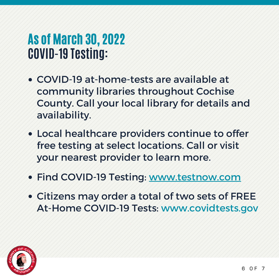## As of March 30, 2022 **COVID-19 Testing:**

- COVID-19 at-home-tests are available at community libraries throughout Cochise County. Call your local library for details and availability.
- Local healthcare providers continue to offer free testing at select locations. Call or visit your nearest provider to learn more.
- Find COVID-19 Testing: www.testnow.com
- Citizens may order a total of two sets of FREE At-Home COVID-19 Tests: www.covidtests.gov